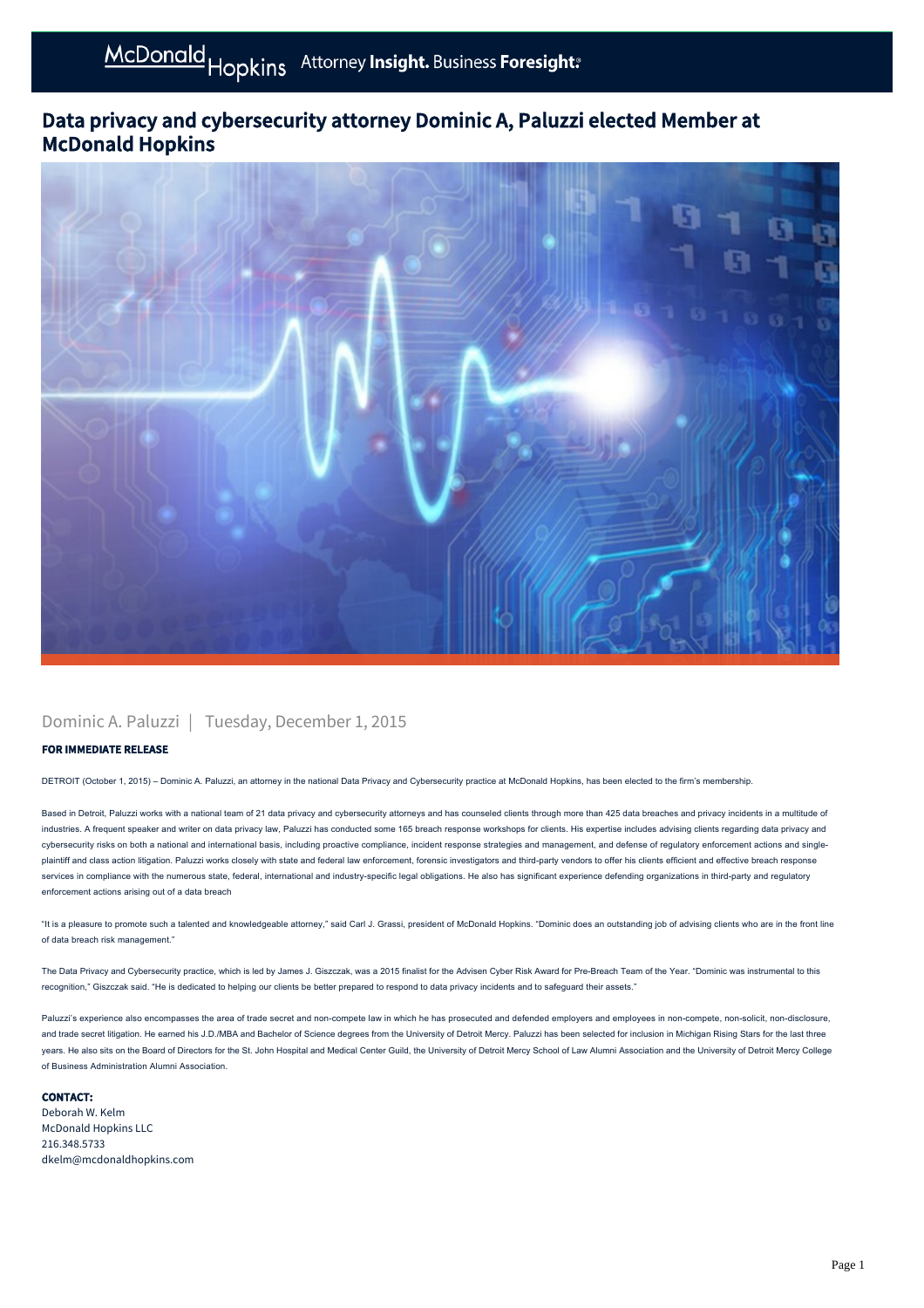## Data privacy and cybersecurity attorney Dominic A, Paluzzi elected Member at McDonald Hopkins



### Dominic A. Paluzzi | Tuesday, December 1, 2015

### FOR IMMEDIATE RELEASE

DETROIT (October 1, 2015) – Dominic A. Paluzzi, an attorney in the national Data Privacy and Cybersecurity practice at McDonald Hopkins, has been elected to the firm's membership.

Based in Detroit, Paluzzi works with a national team of 21 data privacy and cybersecurity attorneys and has counseled clients through more than 425 data breaches and privacy incidents in a multitude of industries. A frequent speaker and writer on data privacy law, Paluzzi has conducted some 165 breach response workshops for clients. His expertise includes advising clients regarding data privacy and cybersecurity risks on both a national and international basis, including proactive compliance, incident response strategies and management, and defense of regulatory enforcement actions and singleplaintiff and class action litigation. Paluzzi works closely with state and federal law enforcement, forensic investigators and third-party vendors to offer his clients efficient and effective breach response services in compliance with the numerous state, federal, international and industry-specific legal obligations. He also has significant experience defending organizations in third-party and regulatory enforcement actions arising out of a data breach

"It is a pleasure to promote such a talented and knowledgeable attorney," said Carl J. Grassi, president of McDonald Hopkins. "Dominic does an outstanding job of advising clients who are in the front line of data breach risk management."

The Data Privacy and Cybersecurity practice, which is led by James J. Giszczak, was a 2015 finalist for the Advisen Cyber Risk Award for Pre-Breach Team of the Year. "Dominic was instrumental to this recognition," Giszczak said. "He is dedicated to helping our clients be better prepared to respond to data privacy incidents and to safeguard their assets."

Paluzzi's experience also encompasses the area of trade secret and non-compete law in which he has prosecuted and defended employers and employees in non-compete, non-solicit, non-disclosure, and trade secret litigation. He earned his J.D./MBA and Bachelor of Science degrees from the University of Detroit Mercy. Paluzzi has been selected for inclusion in Michigan Rising Stars for the last three years. He also sits on the Board of Directors for the St. John Hospital and Medical Center Guild, the University of Detroit Mercy School of Law Alumni Association and the University of Detroit Mercy College of Business Administration Alumni Association.

#### CONTACT:

Deborah W. Kelm McDonald Hopkins LLC 216.348.5733 dkelm@mcdonaldhopkins.com